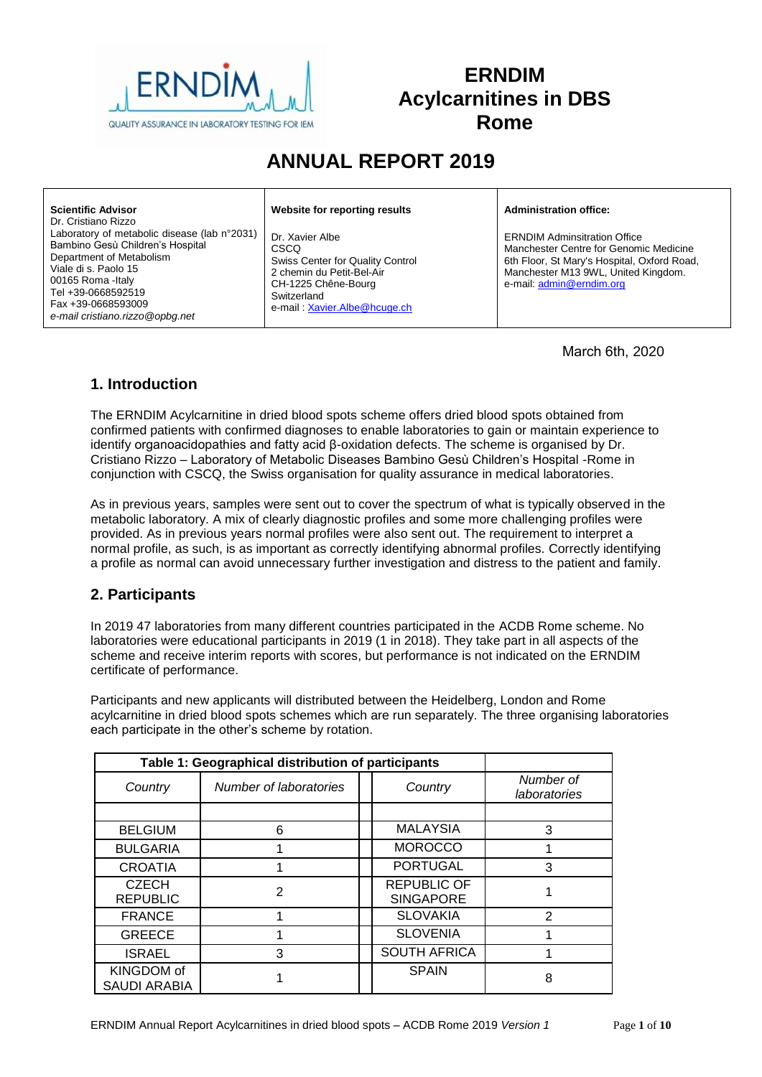

# **ERNDIM Acylcarnitines in DBS Rome**

# **ANNUAL REPORT 2019**

| <b>Scientific Advisor</b><br>Dr. Cristiano Rizzo                                                                                                                                                                                          | Website for reporting results                                                                                                                                         | <b>Administration office:</b>                                                                                                                                                                   |
|-------------------------------------------------------------------------------------------------------------------------------------------------------------------------------------------------------------------------------------------|-----------------------------------------------------------------------------------------------------------------------------------------------------------------------|-------------------------------------------------------------------------------------------------------------------------------------------------------------------------------------------------|
| Laboratory of metabolic disease (lab n°2031)<br>Bambino Gesù Children's Hospital<br>Department of Metabolism<br>Viale di s. Paolo 15<br>00165 Roma - Italy<br>Tel +39-0668592519<br>Fax +39-0668593009<br>e-mail cristiano.rizzo@opbq.net | Dr. Xavier Albe<br><b>CSCO</b><br>Swiss Center for Quality Control<br>2 chemin du Petit-Bel-Air<br>CH-1225 Chêne-Bourg<br>Switzerland<br>e-mail: Xavier.Albe@hcuge.ch | <b>ERNDIM Adminsitration Office</b><br>Manchester Centre for Genomic Medicine<br>6th Floor, St Mary's Hospital, Oxford Road.<br>Manchester M13 9WL, United Kingdom.<br>e-mail: admin@erndim.org |

March 6th, 2020

# **1. Introduction**

The ERNDIM Acylcarnitine in dried blood spots scheme offers dried blood spots obtained from confirmed patients with confirmed diagnoses to enable laboratories to gain or maintain experience to identify organoacidopathies and fatty acid β-oxidation defects. The scheme is organised by Dr. Cristiano Rizzo – Laboratory of Metabolic Diseases Bambino Gesù Children's Hospital -Rome in conjunction with CSCQ, the Swiss organisation for quality assurance in medical laboratories.

As in previous years, samples were sent out to cover the spectrum of what is typically observed in the metabolic laboratory. A mix of clearly diagnostic profiles and some more challenging profiles were provided. As in previous years normal profiles were also sent out. The requirement to interpret a normal profile, as such, is as important as correctly identifying abnormal profiles. Correctly identifying a profile as normal can avoid unnecessary further investigation and distress to the patient and family.

## **2. Participants**

In 2019 47 laboratories from many different countries participated in the ACDB Rome scheme. No laboratories were educational participants in 2019 (1 in 2018). They take part in all aspects of the scheme and receive interim reports with scores, but performance is not indicated on the ERNDIM certificate of performance.

Participants and new applicants will distributed between the Heidelberg, London and Rome acylcarnitine in dried blood spots schemes which are run separately. The three organising laboratories each participate in the other's scheme by rotation.

| Table 1: Geographical distribution of participants |                        |                                        |                           |
|----------------------------------------------------|------------------------|----------------------------------------|---------------------------|
| Country                                            | Number of laboratories | Country                                | Number of<br>laboratories |
|                                                    |                        |                                        |                           |
| <b>BELGIUM</b>                                     | 6                      | <b>MALAYSIA</b>                        | 3                         |
| <b>BULGARIA</b>                                    |                        | <b>MOROCCO</b>                         |                           |
| <b>CROATIA</b>                                     |                        | <b>PORTUGAL</b>                        | 3                         |
| <b>CZECH</b><br><b>REPUBLIC</b>                    | 2                      | <b>REPUBLIC OF</b><br><b>SINGAPORE</b> |                           |
| <b>FRANCE</b>                                      |                        | <b>SLOVAKIA</b>                        | $\mathcal{P}$             |
| <b>GREECE</b>                                      |                        | <b>SLOVENIA</b>                        |                           |
| <b>ISRAEL</b>                                      | 3                      | <b>SOUTH AFRICA</b>                    |                           |
| KINGDOM of<br>SAUDI ARABIA                         |                        | <b>SPAIN</b>                           | 8                         |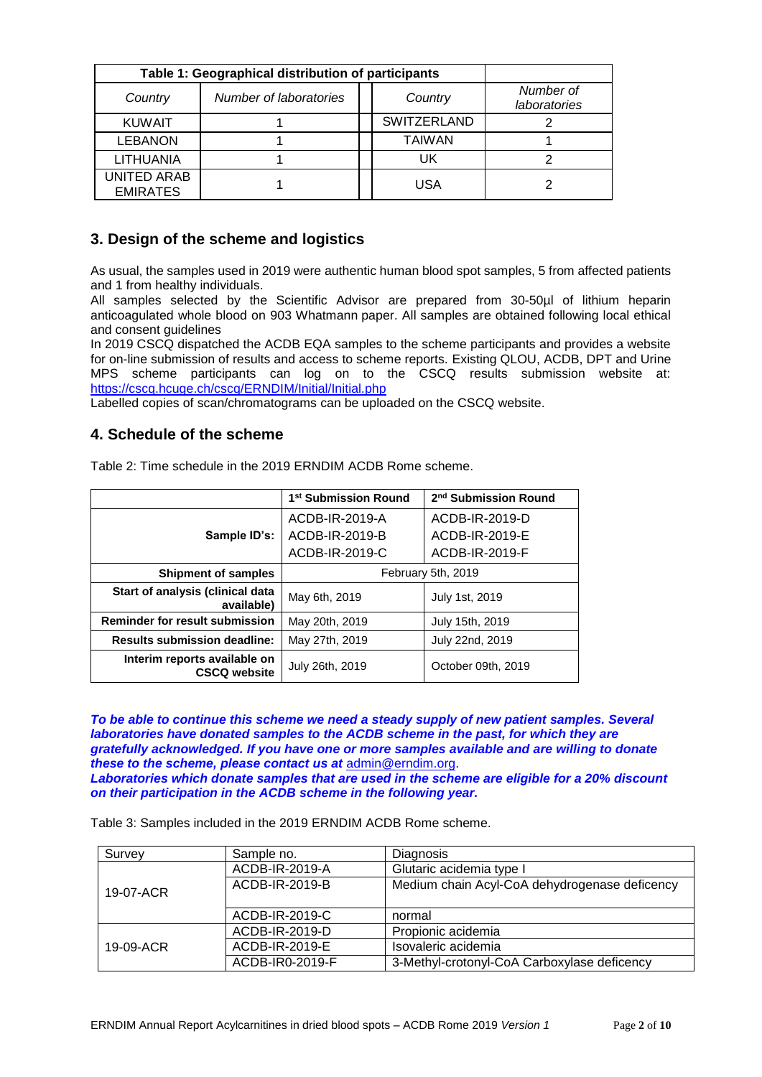| Table 1: Geographical distribution of participants |                        |                    |                           |
|----------------------------------------------------|------------------------|--------------------|---------------------------|
| Country                                            | Number of laboratories | Country            | Number of<br>laboratories |
| <b>KUWAIT</b>                                      |                        | <b>SWITZERLAND</b> |                           |
| <b>LEBANON</b>                                     |                        | <b>TAIWAN</b>      |                           |
| <b>LITHUANIA</b>                                   |                        | UK                 |                           |
| <b>UNITED ARAB</b><br><b>EMIRATES</b>              |                        | USA                |                           |

## **3. Design of the scheme and logistics**

As usual, the samples used in 2019 were authentic human blood spot samples, 5 from affected patients and 1 from healthy individuals.

All samples selected by the Scientific Advisor are prepared from 30-50µl of lithium heparin anticoagulated whole blood on 903 Whatmann paper. All samples are obtained following local ethical and consent guidelines

In 2019 CSCQ dispatched the ACDB EQA samples to the scheme participants and provides a website for on-line submission of results and access to scheme reports. Existing QLOU, ACDB, DPT and Urine MPS scheme participants can log on to the CSCQ results submission website at: <https://cscq.hcuge.ch/cscq/ERNDIM/Initial/Initial.php>

Labelled copies of scan/chromatograms can be uploaded on the CSCQ website.

## **4. Schedule of the scheme**

|                                                     | 1 <sup>st</sup> Submission Round | 2 <sup>nd</sup> Submission Round |  |  |
|-----------------------------------------------------|----------------------------------|----------------------------------|--|--|
|                                                     | ACDB-IR-2019-A                   | ACDB-IR-2019-D                   |  |  |
| Sample ID's:                                        | ACDB-IR-2019-B                   | ACDB-IR-2019-E                   |  |  |
|                                                     | ACDB-IR-2019-C                   | ACDB-IR-2019-F                   |  |  |
| <b>Shipment of samples</b>                          | February 5th, 2019               |                                  |  |  |
| Start of analysis (clinical data<br>available)      | May 6th, 2019                    | July 1st, 2019                   |  |  |
| <b>Reminder for result submission</b>               | May 20th, 2019                   | July 15th, 2019                  |  |  |
| <b>Results submission deadline:</b>                 | May 27th, 2019                   | July 22nd, 2019                  |  |  |
| Interim reports available on<br><b>CSCQ website</b> | July 26th, 2019                  | October 09th, 2019               |  |  |

Table 2: Time schedule in the 2019 ERNDIM ACDB Rome scheme.

*To be able to continue this scheme we need a steady supply of new patient samples. Several laboratories have donated samples to the ACDB scheme in the past, for which they are gratefully acknowledged. If you have one or more samples available and are willing to donate these to the scheme, please contact us at* [admin@erndim.org.](mailto:admin@erndim.org)

*Laboratories which donate samples that are used in the scheme are eligible for a 20% discount on their participation in the ACDB scheme in the following year.*

Table 3: Samples included in the 2019 ERNDIM ACDB Rome scheme.

| Survey    | Sample no.      | Diagnosis                                     |  |  |
|-----------|-----------------|-----------------------------------------------|--|--|
|           | ACDB-IR-2019-A  | Glutaric acidemia type I                      |  |  |
| 19-07-ACR | ACDB-IR-2019-B  | Medium chain Acyl-CoA dehydrogenase deficency |  |  |
|           | ACDB-IR-2019-C  | normal                                        |  |  |
|           | ACDB-IR-2019-D  | Propionic acidemia                            |  |  |
| 19-09-ACR | ACDB-IR-2019-E  | Isovaleric acidemia                           |  |  |
|           | ACDB-IR0-2019-F | 3-Methyl-crotonyl-CoA Carboxylase deficency   |  |  |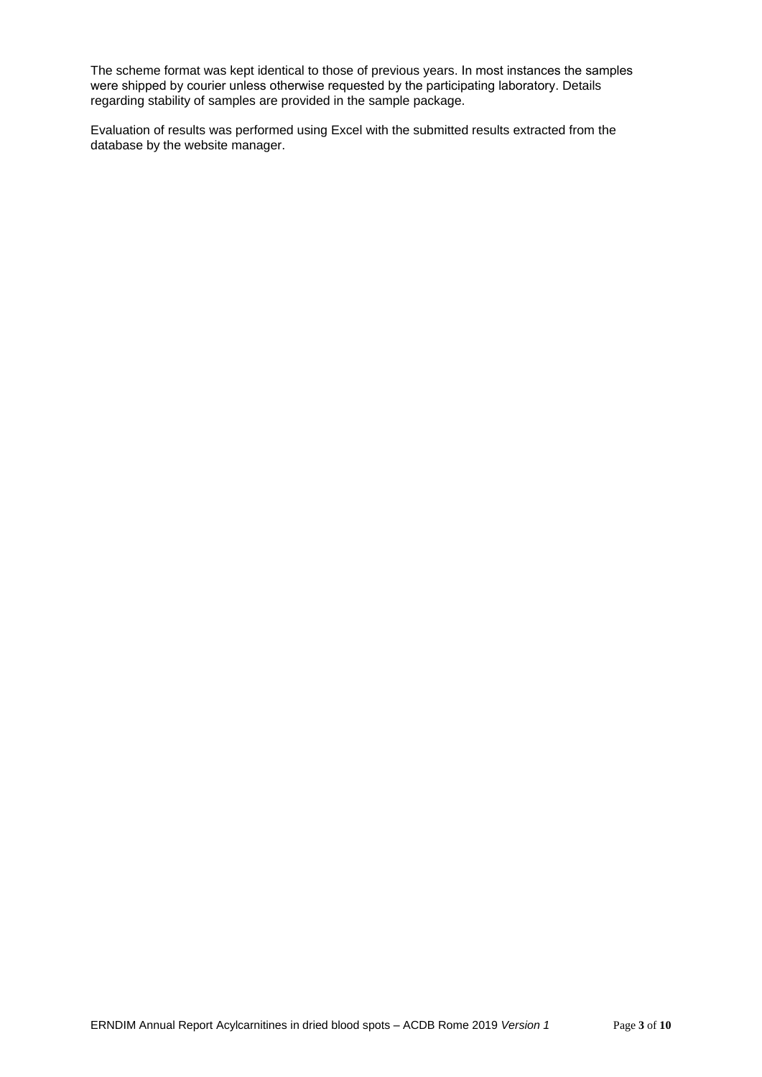The scheme format was kept identical to those of previous years. In most instances the samples were shipped by courier unless otherwise requested by the participating laboratory. Details regarding stability of samples are provided in the sample package.

Evaluation of results was performed using Excel with the submitted results extracted from the database by the website manager.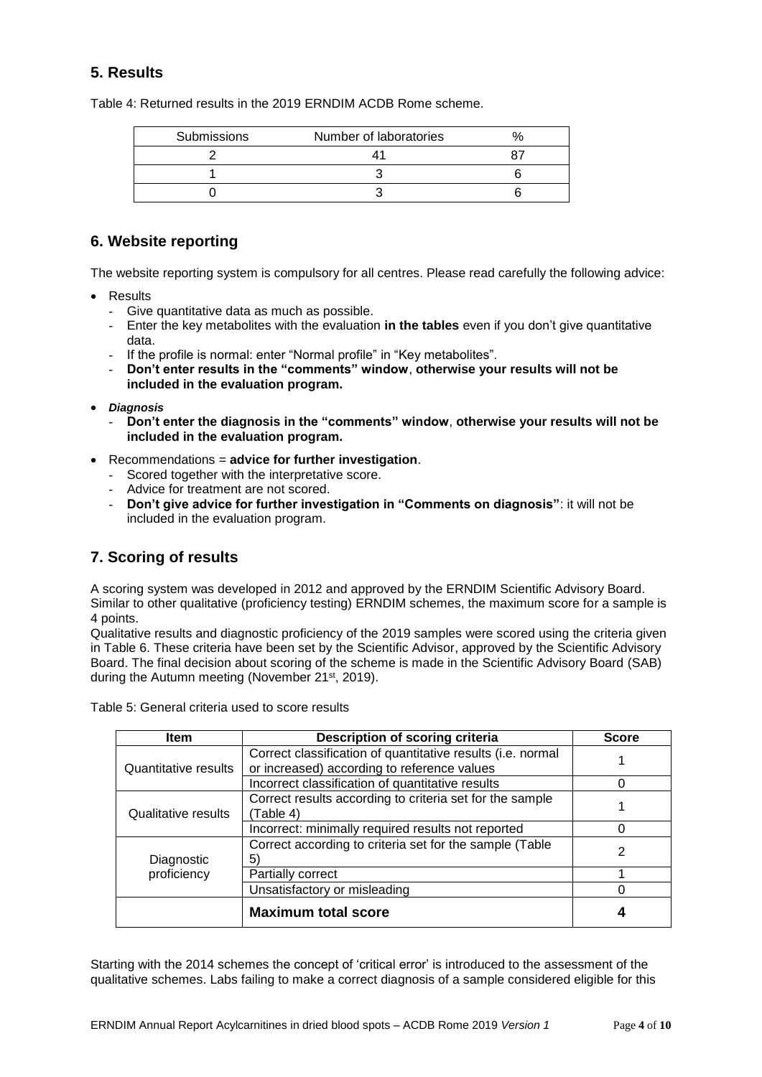# **5. Results**

Table 4: Returned results in the 2019 ERNDIM ACDB Rome scheme.

| Submissions | Number of laboratories |  |
|-------------|------------------------|--|
|             |                        |  |
|             |                        |  |
|             |                        |  |

## **6. Website reporting**

The website reporting system is compulsory for all centres. Please read carefully the following advice:

- Results
	- Give quantitative data as much as possible.
	- Enter the key metabolites with the evaluation **in the tables** even if you don't give quantitative data.
	- If the profile is normal: enter "Normal profile" in "Key metabolites".
	- **Don't enter results in the "comments" window**, **otherwise your results will not be included in the evaluation program.**
- *Diagnosis*
	- **Don't enter the diagnosis in the "comments" window**, **otherwise your results will not be included in the evaluation program.**
- Recommendations = **advice for further investigation**.
	- Scored together with the interpretative score.
	- Advice for treatment are not scored.
	- **Don't give advice for further investigation in "Comments on diagnosis"**: it will not be included in the evaluation program.

## **7. Scoring of results**

A scoring system was developed in 2012 and approved by the ERNDIM Scientific Advisory Board. Similar to other qualitative (proficiency testing) ERNDIM schemes, the maximum score for a sample is 4 points.

Qualitative results and diagnostic proficiency of the 2019 samples were scored using the criteria given in Table 6. These criteria have been set by the Scientific Advisor, approved by the Scientific Advisory Board. The final decision about scoring of the scheme is made in the Scientific Advisory Board (SAB) during the Autumn meeting (November 21<sup>st</sup>, 2019).

| <b>Item</b>          | Description of scoring criteria                             | <b>Score</b> |  |
|----------------------|-------------------------------------------------------------|--------------|--|
|                      | Correct classification of quantitative results (i.e. normal |              |  |
| Quantitative results | or increased) according to reference values                 |              |  |
|                      | Incorrect classification of quantitative results            | O            |  |
|                      | Correct results according to criteria set for the sample    |              |  |
| Qualitative results  | (Table 4)                                                   |              |  |
|                      | Incorrect: minimally required results not reported          |              |  |
|                      | Correct according to criteria set for the sample (Table     | 2            |  |
| Diagnostic           | 5                                                           |              |  |
| proficiency          | Partially correct                                           |              |  |
|                      | Unsatisfactory or misleading                                |              |  |
|                      | <b>Maximum total score</b>                                  |              |  |

Table 5: General criteria used to score results

Starting with the 2014 schemes the concept of 'critical error' is introduced to the assessment of the qualitative schemes. Labs failing to make a correct diagnosis of a sample considered eligible for this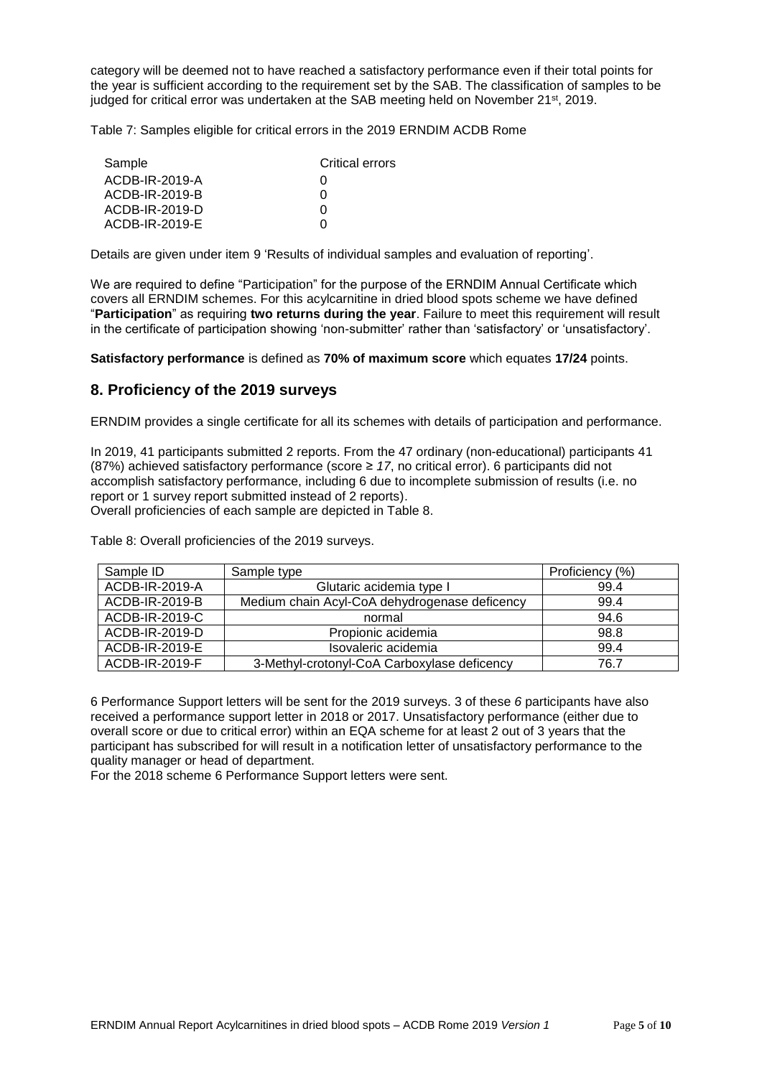category will be deemed not to have reached a satisfactory performance even if their total points for the year is sufficient according to the requirement set by the SAB. The classification of samples to be judged for critical error was undertaken at the SAB meeting held on November 21<sup>st</sup>, 2019.

Table 7: Samples eligible for critical errors in the 2019 ERNDIM ACDB Rome

| Sample         | Critical errors |
|----------------|-----------------|
| ACDB-IR-2019-A | $\mathbf{0}$    |
| ACDB-IR-2019-B | O               |
| ACDB-IR-2019-D | O               |
| ACDB-IR-2019-E | O               |

Details are given under item 9 'Results of individual samples and evaluation of reporting'.

We are required to define "Participation" for the purpose of the ERNDIM Annual Certificate which covers all ERNDIM schemes. For this acylcarnitine in dried blood spots scheme we have defined "**Participation**" as requiring **two returns during the year**. Failure to meet this requirement will result in the certificate of participation showing 'non-submitter' rather than 'satisfactory' or 'unsatisfactory'.

**Satisfactory performance** is defined as **70% of maximum score** which equates **17/24** points.

## **8. Proficiency of the 2019 surveys**

ERNDIM provides a single certificate for all its schemes with details of participation and performance.

In 2019, 41 participants submitted 2 reports. From the 47 ordinary (non-educational) participants 41 (87%) achieved satisfactory performance (score ≥ *17*, no critical error). 6 participants did not accomplish satisfactory performance, including 6 due to incomplete submission of results (i.e. no report or 1 survey report submitted instead of 2 reports). Overall proficiencies of each sample are depicted in Table 8.

Table 8: Overall proficiencies of the 2019 surveys.

| Sample ID      | Sample type                                   | Proficiency (%) |
|----------------|-----------------------------------------------|-----------------|
| ACDB-IR-2019-A | Glutaric acidemia type I                      | 99.4            |
| ACDB-IR-2019-B | Medium chain Acyl-CoA dehydrogenase deficency | 99.4            |
| ACDB-IR-2019-C | normal                                        | 94.6            |
| ACDB-IR-2019-D | Propionic acidemia                            | 98.8            |
| ACDB-IR-2019-E | Isovaleric acidemia                           | 99.4            |
| ACDB-IR-2019-F | 3-Methyl-crotonyl-CoA Carboxylase deficency   | 76.7            |

6 Performance Support letters will be sent for the 2019 surveys. 3 of these *6* participants have also received a performance support letter in 2018 or 2017. Unsatisfactory performance (either due to overall score or due to critical error) within an EQA scheme for at least 2 out of 3 years that the participant has subscribed for will result in a notification letter of unsatisfactory performance to the quality manager or head of department.

For the 2018 scheme 6 Performance Support letters were sent.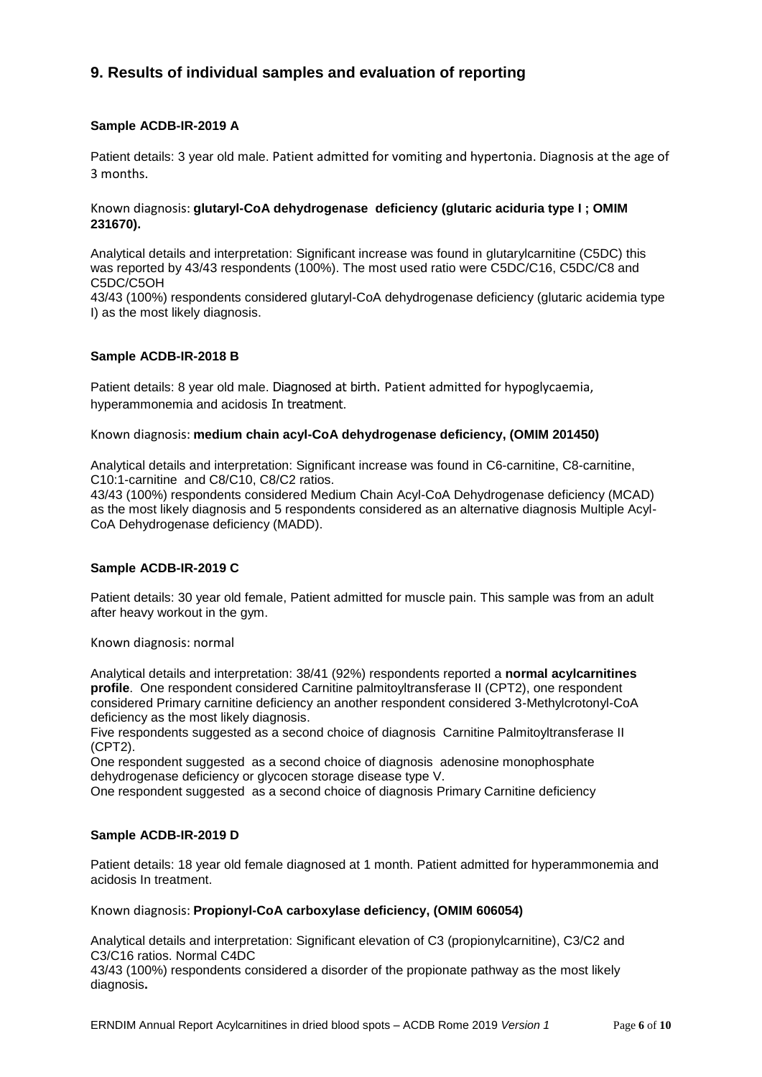# **9. Results of individual samples and evaluation of reporting**

## **Sample ACDB-IR-2019 A**

Patient details: 3 year old male. Patient admitted for vomiting and hypertonia. Diagnosis at the age of 3 months.

### Known diagnosis: **glutaryl-CoA dehydrogenase deficiency (glutaric aciduria type I ; OMIM 231670).**

Analytical details and interpretation: Significant increase was found in glutarylcarnitine (C5DC) this was reported by 43/43 respondents (100%). The most used ratio were C5DC/C16, C5DC/C8 and C5DC/C5OH 43/43 (100%) respondents considered glutaryl-CoA dehydrogenase deficiency (glutaric acidemia type I) as the most likely diagnosis.

## **Sample ACDB-IR-2018 B**

Patient details: 8 year old male. Diagnosed at birth. Patient admitted for hypoglycaemia, hyperammonemia and acidosis In treatment.

### Known diagnosis: **medium chain acyl-CoA dehydrogenase deficiency, (OMIM 201450)**

Analytical details and interpretation: Significant increase was found in C6-carnitine, C8-carnitine, C10:1-carnitine and C8/C10, C8/C2 ratios.

43/43 (100%) respondents considered Medium Chain Acyl-CoA Dehydrogenase deficiency (MCAD) as the most likely diagnosis and 5 respondents considered as an alternative diagnosis Multiple Acyl-CoA Dehydrogenase deficiency (MADD).

## **Sample ACDB-IR-2019 C**

Patient details: 30 year old female, Patient admitted for muscle pain. This sample was from an adult after heavy workout in the gym.

Known diagnosis: normal

Analytical details and interpretation: 38/41 (92%) respondents reported a **normal acylcarnitines profile**. One respondent considered Carnitine palmitoyltransferase II (CPT2), one respondent considered Primary carnitine deficiency an another respondent considered 3-Methylcrotonyl-CoA deficiency as the most likely diagnosis.

Five respondents suggested as a second choice of diagnosis Carnitine Palmitovitransferase II (CPT2).

One respondent suggested as a second choice of diagnosis adenosine monophosphate dehydrogenase deficiency or glycocen storage disease type V.

One respondent suggested as a second choice of diagnosis Primary Carnitine deficiency

#### **Sample ACDB-IR-2019 D**

Patient details: 18 year old female diagnosed at 1 month. Patient admitted for hyperammonemia and acidosis In treatment.

Known diagnosis: **Propionyl-CoA carboxylase deficiency, (OMIM 606054)**

Analytical details and interpretation: Significant elevation of C3 (propionylcarnitine), C3/C2 and C3/C16 ratios. Normal C4DC

43/43 (100%) respondents considered a disorder of the propionate pathway as the most likely diagnosis**.**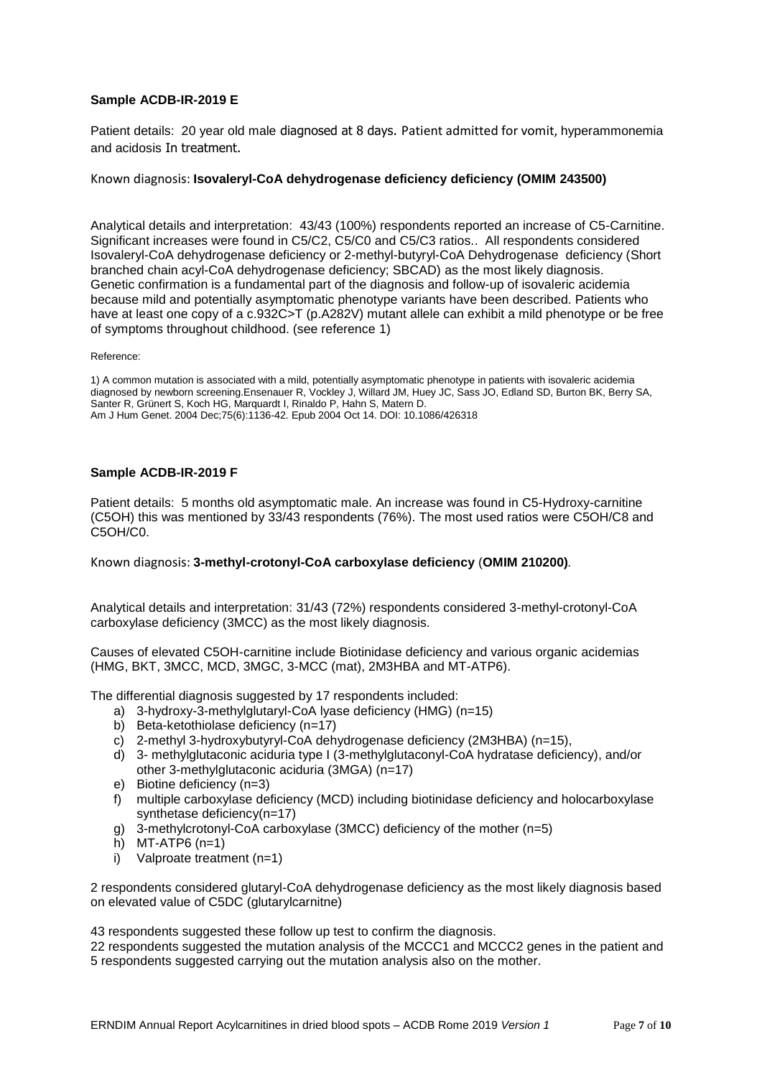### **Sample ACDB-IR-2019 E**

Patient details: 20 year old male diagnosed at 8 days. Patient admitted for vomit, hyperammonemia and acidosis In treatment.

#### Known diagnosis: **Isovaleryl-CoA dehydrogenase deficiency deficiency (OMIM 243500)**

Analytical details and interpretation: 43/43 (100%) respondents reported an increase of C5-Carnitine. Significant increases were found in C5/C2, C5/C0 and C5/C3 ratios.. All respondents considered Isovaleryl-CoA dehydrogenase deficiency or 2-methyl-butyryl-CoA Dehydrogenase deficiency (Short branched chain acyl-CoA dehydrogenase deficiency; SBCAD) as the most likely diagnosis. Genetic confirmation is a fundamental part of the diagnosis and follow-up of isovaleric acidemia because mild and potentially asymptomatic phenotype variants have been described. Patients who have at least one copy of a c.932C>T (p.A282V) mutant allele can exhibit a mild phenotype or be free of symptoms throughout childhood. (see reference 1)

Reference:

1) A common mutation is associated with a mild, potentially asymptomatic phenotype in patients with isovaleric acidemia diagnosed by newborn screening.Ensenauer R, Vockley J, Willard JM, Huey JC, Sass JO, Edland SD, Burton BK, Berry SA, Santer R, Grünert S, Koch HG, Marquardt I, Rinaldo P, Hahn S, Matern D. Am J Hum Genet. 2004 Dec;75(6):1136-42. Epub 2004 Oct 14. DOI: 10.1086/426318

#### **Sample ACDB-IR-2019 F**

Patient details: 5 months old asymptomatic male. An increase was found in C5-Hydroxy-carnitine (C5OH) this was mentioned by 33/43 respondents (76%). The most used ratios were C5OH/C8 and C5OH/C0.

Known diagnosis: **3-methyl-crotonyl-CoA carboxylase deficiency** (**OMIM 210200)***.*

Analytical details and interpretation: 31/43 (72%) respondents considered 3-methyl-crotonyl-CoA carboxylase deficiency (3MCC) as the most likely diagnosis.

Causes of elevated C5OH-carnitine include Biotinidase deficiency and various organic acidemias (HMG, BKT, 3MCC, MCD, 3MGC, 3-MCC (mat), 2M3HBA and MT-ATP6).

The differential diagnosis suggested by 17 respondents included:

- a) 3-hydroxy-3-methylglutaryl-CoA lyase deficiency (HMG) (n=15)
- b) Beta-ketothiolase deficiency (n=17)
- c) 2-methyl 3-hydroxybutyryl-CoA dehydrogenase deficiency (2M3HBA) (n=15),
- d) 3- methylglutaconic aciduria type I (3-methylglutaconyl-CoA hydratase deficiency), and/or other 3-methylglutaconic aciduria (3MGA) (n=17)
- e) Biotine deficiency (n=3)
- f) multiple carboxylase deficiency (MCD) including biotinidase deficiency and holocarboxylase synthetase deficiency(n=17)
- g) 3-methylcrotonyl-CoA carboxylase (3MCC) deficiency of the mother (n=5)
- h)  $MT-ATP6$  (n=1)
- i) Valproate treatment (n=1)

2 respondents considered glutaryl-CoA dehydrogenase deficiency as the most likely diagnosis based on elevated value of C5DC (glutarylcarnitne)

43 respondents suggested these follow up test to confirm the diagnosis.

22 respondents suggested the mutation analysis of the MCCC1 and MCCC2 genes in the patient and 5 respondents suggested carrying out the mutation analysis also on the mother.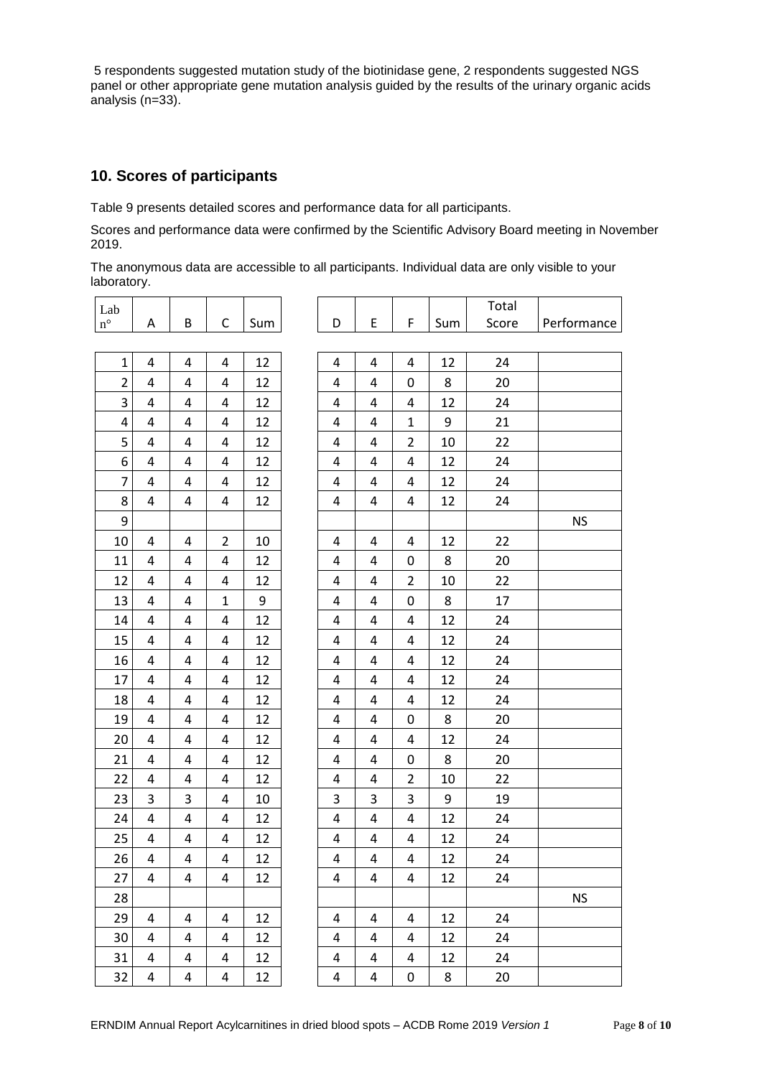5 respondents suggested mutation study of the biotinidase gene, 2 respondents suggested NGS panel or other appropriate gene mutation analysis guided by the results of the urinary organic acids analysis (n=33).

## **10. Scores of participants**

Table 9 presents detailed scores and performance data for all participants.

Scores and performance data were confirmed by the Scientific Advisory Board meeting in November 2019.

The anonymous data are accessible to all participants. Individual data are only visible to your laboratory.

| Lab             |                         |                         |                |     |                         |                         |                |     | Total |             |
|-----------------|-------------------------|-------------------------|----------------|-----|-------------------------|-------------------------|----------------|-----|-------|-------------|
| $\rm n^{\circ}$ | Α                       | B                       | C              | Sum | D                       | E                       | F              | Sum | Score | Performance |
|                 |                         |                         |                |     |                         |                         |                |     |       |             |
| $\mathbf 1$     | 4                       | 4                       | 4              | 12  | 4                       | $\overline{4}$          | 4              | 12  | 24    |             |
| 2               | 4                       | 4                       | 4              | 12  | 4                       | 4                       | 0              | 8   | 20    |             |
| 3               | 4                       | 4                       | 4              | 12  | 4                       | 4                       | 4              | 12  | 24    |             |
| 4               | 4                       | 4                       | 4              | 12  | 4                       | 4                       | $\mathbf{1}$   | 9   | 21    |             |
| 5               | 4                       | 4                       | 4              | 12  | 4                       | 4                       | $\overline{2}$ | 10  | 22    |             |
| 6               | 4                       | 4                       | 4              | 12  | 4                       | 4                       | 4              | 12  | 24    |             |
| 7               | 4                       | 4                       | 4              | 12  | 4                       | 4                       | 4              | 12  | 24    |             |
| 8               | 4                       | 4                       | 4              | 12  | 4                       | 4                       | 4              | 12  | 24    |             |
| 9               |                         |                         |                |     |                         |                         |                |     |       | <b>NS</b>   |
| 10              | 4                       | 4                       | $\overline{2}$ | 10  | 4                       | 4                       | 4              | 12  | 22    |             |
| 11              | 4                       | $\overline{4}$          | 4              | 12  | 4                       | 4                       | $\mathbf 0$    | 8   | 20    |             |
| 12              | 4                       | 4                       | 4              | 12  | 4                       | 4                       | $\overline{2}$ | 10  | 22    |             |
| 13              | 4                       | 4                       | $\mathbf{1}$   | 9   | 4                       | 4                       | 0              | 8   | 17    |             |
| 14              | 4                       | 4                       | 4              | 12  | 4                       | 4                       | $\overline{4}$ | 12  | 24    |             |
| 15              | 4                       | 4                       | 4              | 12  | 4                       | 4                       | 4              | 12  | 24    |             |
| 16              | 4                       | 4                       | 4              | 12  | 4                       | 4                       | 4              | 12  | 24    |             |
| 17              | 4                       | 4                       | 4              | 12  | 4                       | 4                       | 4              | 12  | 24    |             |
| 18              | 4                       | 4                       | 4              | 12  | 4                       | 4                       | $\sqrt{4}$     | 12  | 24    |             |
| 19              | 4                       | 4                       | 4              | 12  | 4                       | 4                       | 0              | 8   | 20    |             |
| 20              | 4                       | 4                       | 4              | 12  | 4                       | 4                       | 4              | 12  | 24    |             |
| 21              | 4                       | 4                       | 4              | 12  | 4                       | 4                       | $\pmb{0}$      | 8   | 20    |             |
| 22              | 4                       | 4                       | 4              | 12  | 4                       | 4                       | 2              | 10  | 22    |             |
| 23              | 3                       | 3                       | 4              | 10  | 3                       | 3                       | 3              | 9   | 19    |             |
| 24              | 4                       | 4                       | 4              | 12  | 4                       | 4                       | 4              | 12  | 24    |             |
| 25              | 4                       | 4                       | 4              | 12  | 4                       | 4                       | 4              | 12  | 24    |             |
| 26              | 4                       | 4                       | 4              | 12  | 4                       | 4                       | 4              | 12  | 24    |             |
| 27              | 4                       | 4                       | 4              | 12  | 4                       | 4                       | $\overline{4}$ | 12  | 24    |             |
| 28              |                         |                         |                |     |                         |                         |                |     |       | <b>NS</b>   |
| 29              | 4                       | 4                       | $\overline{4}$ | 12  | 4                       | 4                       | $\overline{4}$ | 12  | 24    |             |
| 30              | 4                       | 4                       | 4              | 12  | 4                       | $\overline{a}$          | 4              | 12  | 24    |             |
| 31              | 4                       | $\overline{a}$          | 4              | 12  | 4                       | 4                       | $\overline{a}$ | 12  | 24    |             |
| 32              | $\overline{\mathbf{4}}$ | $\overline{\mathbf{4}}$ | 4              | 12  | $\overline{\mathbf{4}}$ | $\overline{\mathbf{4}}$ | $\pmb{0}$      | 8   | 20    |             |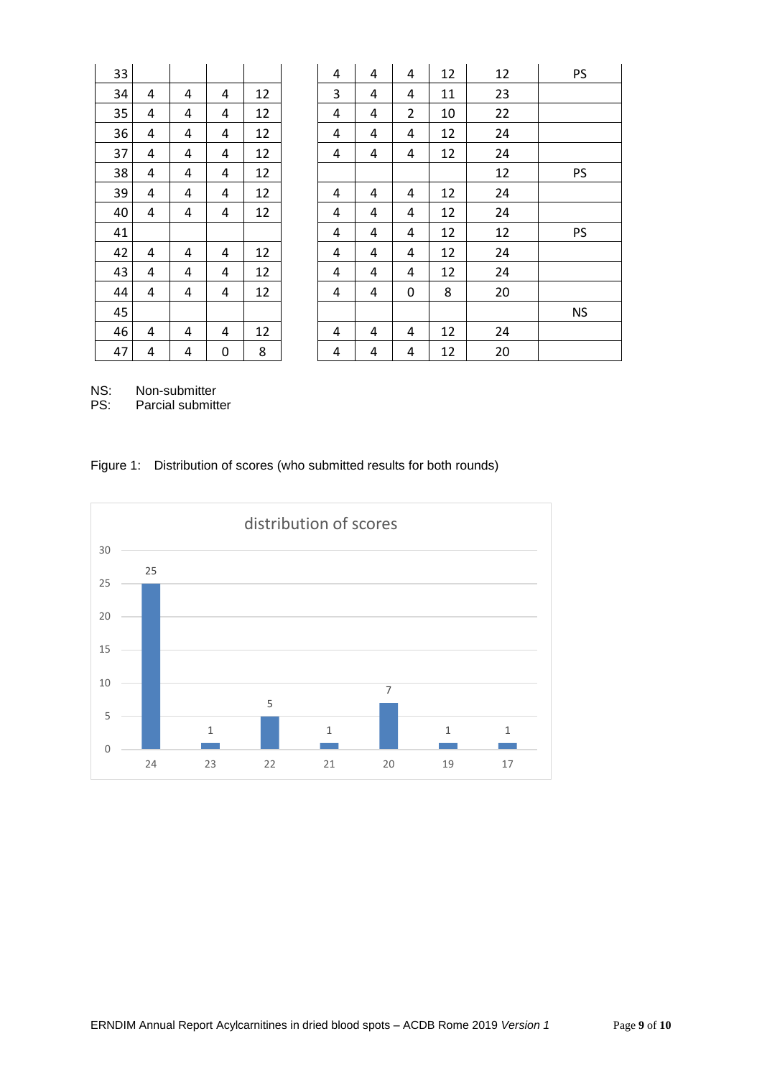| 33 |   |   |           |    | 4 | $\overline{4}$ | 4              | 12 | 12 | PS        |
|----|---|---|-----------|----|---|----------------|----------------|----|----|-----------|
| 34 | 4 | 4 | 4         | 12 | 3 | 4              | 4              | 11 | 23 |           |
| 35 | 4 | 4 | 4         | 12 | 4 | 4              | $\overline{2}$ | 10 | 22 |           |
| 36 | 4 | 4 | 4         | 12 | 4 | 4              | 4              | 12 | 24 |           |
| 37 | 4 | 4 | 4         | 12 | 4 | 4              | 4              | 12 | 24 |           |
| 38 | 4 | 4 | 4         | 12 |   |                |                |    | 12 | <b>PS</b> |
| 39 | 4 | 4 | 4         | 12 | 4 | 4              | 4              | 12 | 24 |           |
| 40 | 4 | 4 | 4         | 12 | 4 | 4              | 4              | 12 | 24 |           |
| 41 |   |   |           |    | 4 | 4              | 4              | 12 | 12 | PS        |
| 42 | 4 | 4 | 4         | 12 | 4 | 4              | 4              | 12 | 24 |           |
| 43 | 4 | 4 | 4         | 12 | 4 | 4              | 4              | 12 | 24 |           |
| 44 | 4 | 4 | 4         | 12 | 4 | 4              | 0              | 8  | 20 |           |
| 45 |   |   |           |    |   |                |                |    |    | <b>NS</b> |
| 46 | 4 | 4 | 4         | 12 | 4 | 4              | 4              | 12 | 24 |           |
| 47 | 4 | 4 | $\pmb{0}$ | 8  | 4 | 4              | 4              | 12 | 20 |           |
|    |   |   |           |    |   |                |                |    |    |           |

NS: Non-submitter<br>PS: Parcial submitt

Parcial submitter

# Figure 1: Distribution of scores (who submitted results for both rounds)